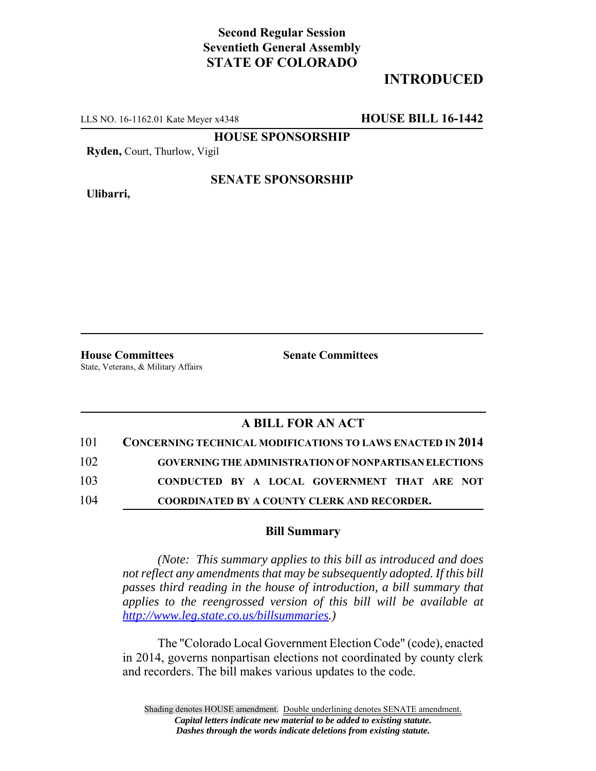# **Second Regular Session Seventieth General Assembly STATE OF COLORADO**

# **INTRODUCED**

LLS NO. 16-1162.01 Kate Meyer x4348 **HOUSE BILL 16-1442**

**HOUSE SPONSORSHIP**

**Ryden,** Court, Thurlow, Vigil

**Ulibarri,**

### **SENATE SPONSORSHIP**

**House Committees Senate Committees** State, Veterans, & Military Affairs

## **A BILL FOR AN ACT**

| 101 | <b>CONCERNING TECHNICAL MODIFICATIONS TO LAWS ENACTED IN 2014</b> |
|-----|-------------------------------------------------------------------|
| 102 | <b>GOVERNING THE ADMINISTRATION OF NONPARTISAN ELECTIONS</b>      |
| 103 | CONDUCTED BY A LOCAL GOVERNMENT THAT ARE NOT                      |
| 104 | <b>COORDINATED BY A COUNTY CLERK AND RECORDER.</b>                |

#### **Bill Summary**

*(Note: This summary applies to this bill as introduced and does not reflect any amendments that may be subsequently adopted. If this bill passes third reading in the house of introduction, a bill summary that applies to the reengrossed version of this bill will be available at http://www.leg.state.co.us/billsummaries.)*

The "Colorado Local Government Election Code" (code), enacted in 2014, governs nonpartisan elections not coordinated by county clerk and recorders. The bill makes various updates to the code.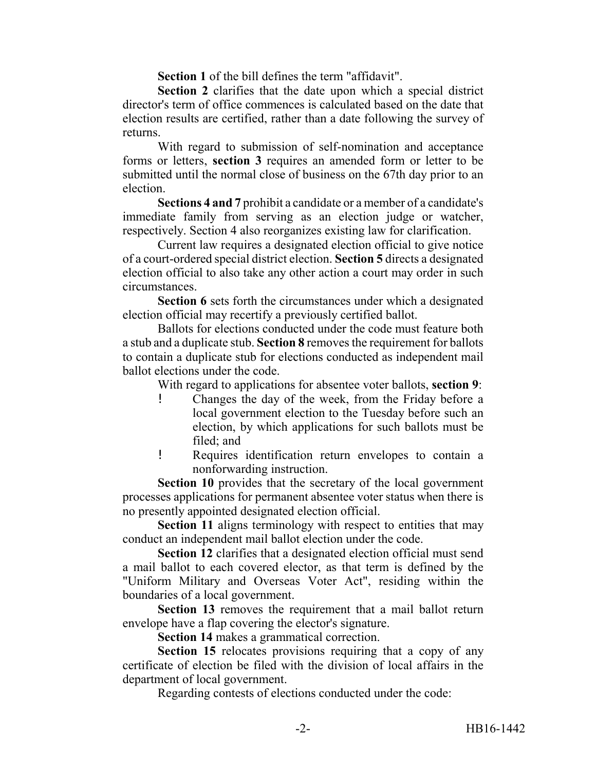**Section 1** of the bill defines the term "affidavit".

**Section 2** clarifies that the date upon which a special district director's term of office commences is calculated based on the date that election results are certified, rather than a date following the survey of returns.

With regard to submission of self-nomination and acceptance forms or letters, **section 3** requires an amended form or letter to be submitted until the normal close of business on the 67th day prior to an election.

**Sections 4 and 7** prohibit a candidate or a member of a candidate's immediate family from serving as an election judge or watcher, respectively. Section 4 also reorganizes existing law for clarification.

Current law requires a designated election official to give notice of a court-ordered special district election. **Section 5** directs a designated election official to also take any other action a court may order in such circumstances.

**Section 6** sets forth the circumstances under which a designated election official may recertify a previously certified ballot.

Ballots for elections conducted under the code must feature both a stub and a duplicate stub. **Section 8** removes the requirement for ballots to contain a duplicate stub for elections conducted as independent mail ballot elections under the code.

With regard to applications for absentee voter ballots, **section 9**:

- ! Changes the day of the week, from the Friday before a local government election to the Tuesday before such an election, by which applications for such ballots must be filed; and
- ! Requires identification return envelopes to contain a nonforwarding instruction.

**Section 10** provides that the secretary of the local government processes applications for permanent absentee voter status when there is no presently appointed designated election official.

**Section 11** aligns terminology with respect to entities that may conduct an independent mail ballot election under the code.

**Section 12** clarifies that a designated election official must send a mail ballot to each covered elector, as that term is defined by the "Uniform Military and Overseas Voter Act", residing within the boundaries of a local government.

**Section 13** removes the requirement that a mail ballot return envelope have a flap covering the elector's signature.

**Section 14** makes a grammatical correction.

**Section 15** relocates provisions requiring that a copy of any certificate of election be filed with the division of local affairs in the department of local government.

Regarding contests of elections conducted under the code: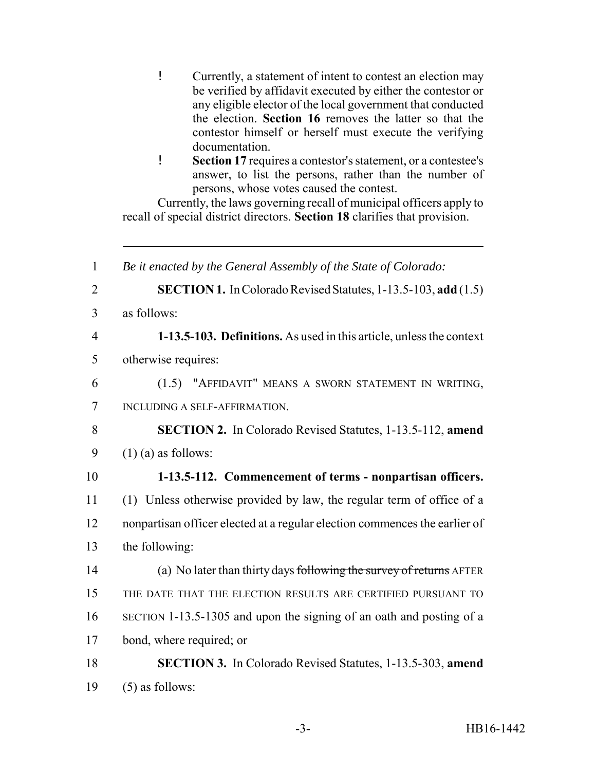- ! Currently, a statement of intent to contest an election may be verified by affidavit executed by either the contestor or any eligible elector of the local government that conducted the election. **Section 16** removes the latter so that the contestor himself or herself must execute the verifying documentation.
- ! **Section 17** requires a contestor's statement, or a contestee's answer, to list the persons, rather than the number of persons, whose votes caused the contest.

Currently, the laws governing recall of municipal officers apply to recall of special district directors. **Section 18** clarifies that provision.

 *Be it enacted by the General Assembly of the State of Colorado:* **SECTION 1.** In Colorado Revised Statutes, 1-13.5-103, **add** (1.5) as follows: **1-13.5-103. Definitions.** As used in this article, unless the context otherwise requires: (1.5) "AFFIDAVIT" MEANS A SWORN STATEMENT IN WRITING, INCLUDING A SELF-AFFIRMATION. **SECTION 2.** In Colorado Revised Statutes, 1-13.5-112, **amend**  $9 \quad (1)$  (a) as follows: **1-13.5-112. Commencement of terms - nonpartisan officers.** (1) Unless otherwise provided by law, the regular term of office of a nonpartisan officer elected at a regular election commences the earlier of the following: 14 (a) No later than thirty days following the survey of returns AFTER THE DATE THAT THE ELECTION RESULTS ARE CERTIFIED PURSUANT TO SECTION 1-13.5-1305 and upon the signing of an oath and posting of a bond, where required; or **SECTION 3.** In Colorado Revised Statutes, 1-13.5-303, **amend**  $(5)$  as follows: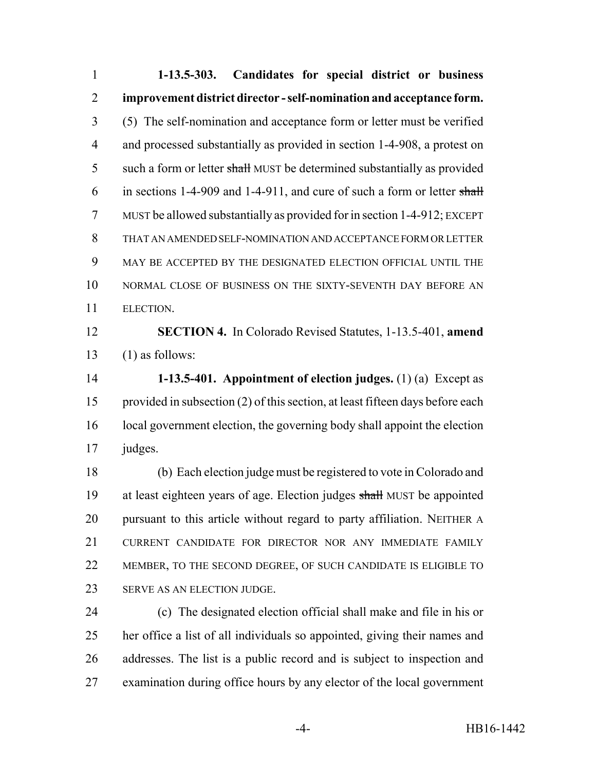**1-13.5-303. Candidates for special district or business improvement district director - self-nomination and acceptance form.** (5) The self-nomination and acceptance form or letter must be verified and processed substantially as provided in section 1-4-908, a protest on 5 such a form or letter shall MUST be determined substantially as provided 6 in sections 1-4-909 and 1-4-911, and cure of such a form or letter shall MUST be allowed substantially as provided for in section 1-4-912; EXCEPT THAT AN AMENDED SELF-NOMINATION AND ACCEPTANCE FORM OR LETTER MAY BE ACCEPTED BY THE DESIGNATED ELECTION OFFICIAL UNTIL THE 10 NORMAL CLOSE OF BUSINESS ON THE SIXTY-SEVENTH DAY BEFORE AN ELECTION. **SECTION 4.** In Colorado Revised Statutes, 1-13.5-401, **amend**

13  $(1)$  as follows:

 **1-13.5-401. Appointment of election judges.** (1) (a) Except as provided in subsection (2) of this section, at least fifteen days before each 16 local government election, the governing body shall appoint the election judges.

 (b) Each election judge must be registered to vote in Colorado and 19 at least eighteen years of age. Election judges shall MUST be appointed 20 pursuant to this article without regard to party affiliation. NEITHER A CURRENT CANDIDATE FOR DIRECTOR NOR ANY IMMEDIATE FAMILY MEMBER, TO THE SECOND DEGREE, OF SUCH CANDIDATE IS ELIGIBLE TO SERVE AS AN ELECTION JUDGE.

 (c) The designated election official shall make and file in his or her office a list of all individuals so appointed, giving their names and addresses. The list is a public record and is subject to inspection and examination during office hours by any elector of the local government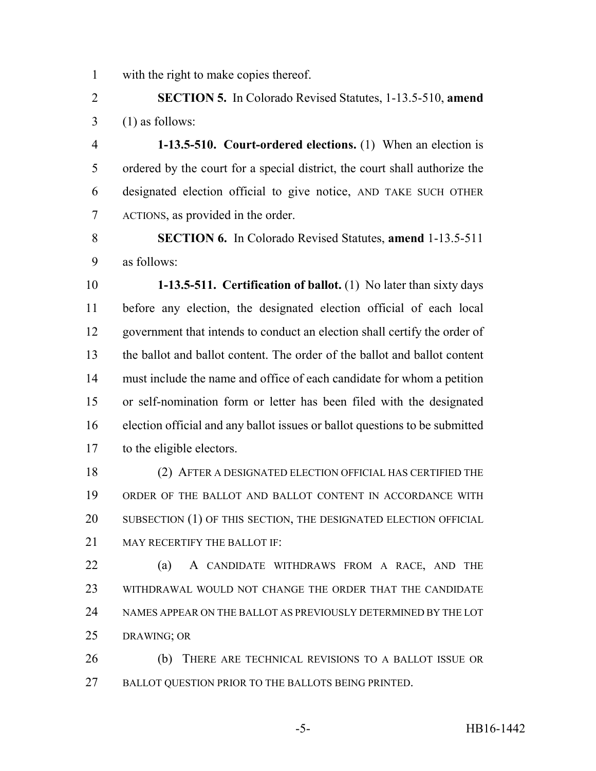with the right to make copies thereof.

 **SECTION 5.** In Colorado Revised Statutes, 1-13.5-510, **amend**  $3 \quad (1)$  as follows:

 **1-13.5-510. Court-ordered elections.** (1) When an election is ordered by the court for a special district, the court shall authorize the designated election official to give notice, AND TAKE SUCH OTHER ACTIONS, as provided in the order.

 **SECTION 6.** In Colorado Revised Statutes, **amend** 1-13.5-511 as follows:

 **1-13.5-511. Certification of ballot.** (1) No later than sixty days before any election, the designated election official of each local government that intends to conduct an election shall certify the order of the ballot and ballot content. The order of the ballot and ballot content must include the name and office of each candidate for whom a petition or self-nomination form or letter has been filed with the designated election official and any ballot issues or ballot questions to be submitted to the eligible electors.

 (2) AFTER A DESIGNATED ELECTION OFFICIAL HAS CERTIFIED THE ORDER OF THE BALLOT AND BALLOT CONTENT IN ACCORDANCE WITH 20 SUBSECTION (1) OF THIS SECTION, THE DESIGNATED ELECTION OFFICIAL 21 MAY RECERTIFY THE BALLOT IF:

 (a) A CANDIDATE WITHDRAWS FROM A RACE, AND THE WITHDRAWAL WOULD NOT CHANGE THE ORDER THAT THE CANDIDATE NAMES APPEAR ON THE BALLOT AS PREVIOUSLY DETERMINED BY THE LOT DRAWING; OR

 (b) THERE ARE TECHNICAL REVISIONS TO A BALLOT ISSUE OR 27 BALLOT QUESTION PRIOR TO THE BALLOTS BEING PRINTED.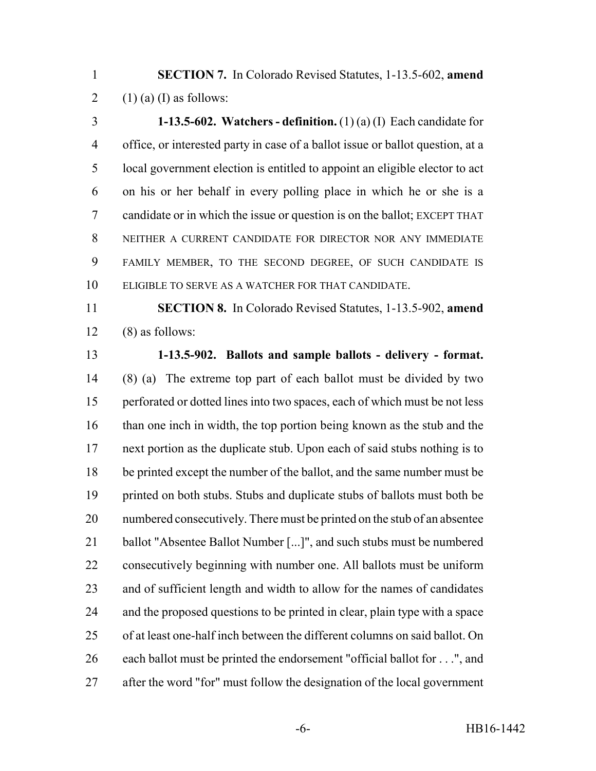**SECTION 7.** In Colorado Revised Statutes, 1-13.5-602, **amend** 2 (1) (a) (I) as follows:

 **1-13.5-602. Watchers - definition.** (1) (a) (I) Each candidate for office, or interested party in case of a ballot issue or ballot question, at a local government election is entitled to appoint an eligible elector to act on his or her behalf in every polling place in which he or she is a candidate or in which the issue or question is on the ballot; EXCEPT THAT NEITHER A CURRENT CANDIDATE FOR DIRECTOR NOR ANY IMMEDIATE FAMILY MEMBER, TO THE SECOND DEGREE, OF SUCH CANDIDATE IS ELIGIBLE TO SERVE AS A WATCHER FOR THAT CANDIDATE.

 **SECTION 8.** In Colorado Revised Statutes, 1-13.5-902, **amend** (8) as follows:

### **1-13.5-902. Ballots and sample ballots - delivery - format.**

 (8) (a) The extreme top part of each ballot must be divided by two perforated or dotted lines into two spaces, each of which must be not less 16 than one inch in width, the top portion being known as the stub and the next portion as the duplicate stub. Upon each of said stubs nothing is to be printed except the number of the ballot, and the same number must be 19 printed on both stubs. Stubs and duplicate stubs of ballots must both be numbered consecutively. There must be printed on the stub of an absentee ballot "Absentee Ballot Number [...]", and such stubs must be numbered consecutively beginning with number one. All ballots must be uniform and of sufficient length and width to allow for the names of candidates and the proposed questions to be printed in clear, plain type with a space of at least one-half inch between the different columns on said ballot. On each ballot must be printed the endorsement "official ballot for . . .", and after the word "for" must follow the designation of the local government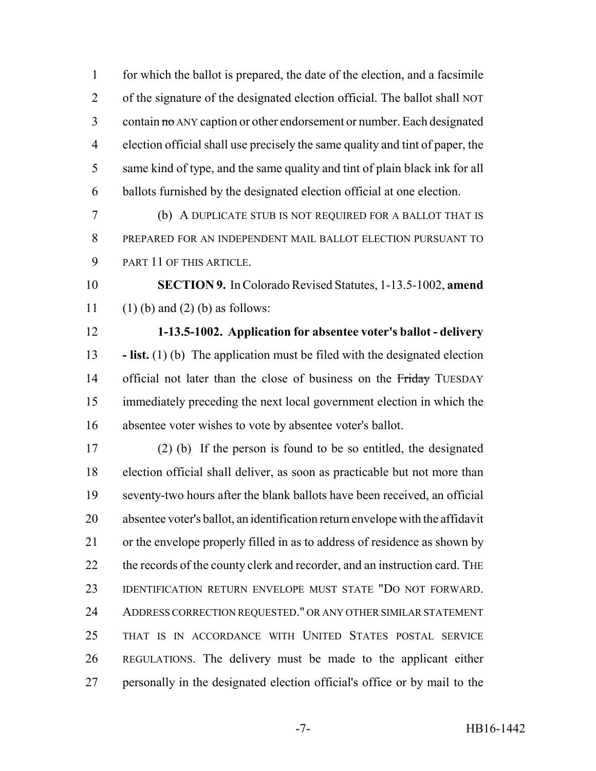for which the ballot is prepared, the date of the election, and a facsimile of the signature of the designated election official. The ballot shall NOT 3 contain no ANY caption or other endorsement or number. Each designated election official shall use precisely the same quality and tint of paper, the same kind of type, and the same quality and tint of plain black ink for all ballots furnished by the designated election official at one election.

 (b) A DUPLICATE STUB IS NOT REQUIRED FOR A BALLOT THAT IS PREPARED FOR AN INDEPENDENT MAIL BALLOT ELECTION PURSUANT TO PART 11 OF THIS ARTICLE.

 **SECTION 9.** In Colorado Revised Statutes, 1-13.5-1002, **amend** 11 (1) (b) and (2) (b) as follows:

 **1-13.5-1002. Application for absentee voter's ballot - delivery - list.** (1) (b) The application must be filed with the designated election 14 official not later than the close of business on the Friday TUESDAY immediately preceding the next local government election in which the absentee voter wishes to vote by absentee voter's ballot.

 (2) (b) If the person is found to be so entitled, the designated election official shall deliver, as soon as practicable but not more than seventy-two hours after the blank ballots have been received, an official absentee voter's ballot, an identification return envelope with the affidavit or the envelope properly filled in as to address of residence as shown by 22 the records of the county clerk and recorder, and an instruction card. The IDENTIFICATION RETURN ENVELOPE MUST STATE "DO NOT FORWARD. ADDRESS CORRECTION REQUESTED." OR ANY OTHER SIMILAR STATEMENT THAT IS IN ACCORDANCE WITH UNITED STATES POSTAL SERVICE REGULATIONS. The delivery must be made to the applicant either personally in the designated election official's office or by mail to the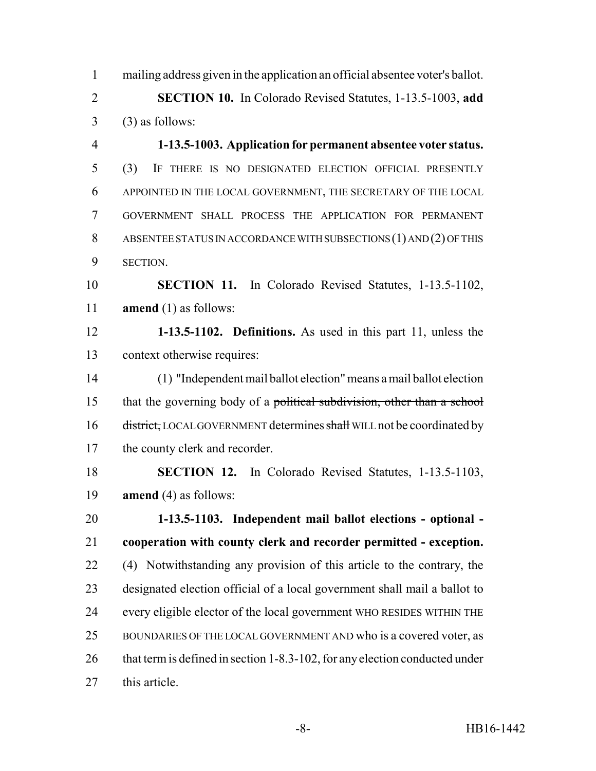mailing address given in the application an official absentee voter's ballot. **SECTION 10.** In Colorado Revised Statutes, 1-13.5-1003, **add**  $3 \qquad (3)$  as follows:

 **1-13.5-1003. Application for permanent absentee voter status.** (3) IF THERE IS NO DESIGNATED ELECTION OFFICIAL PRESENTLY APPOINTED IN THE LOCAL GOVERNMENT, THE SECRETARY OF THE LOCAL GOVERNMENT SHALL PROCESS THE APPLICATION FOR PERMANENT ABSENTEE STATUS IN ACCORDANCE WITH SUBSECTIONS (1) AND (2) OF THIS SECTION.

 **SECTION 11.** In Colorado Revised Statutes, 1-13.5-1102, **amend** (1) as follows:

 **1-13.5-1102. Definitions.** As used in this part 11, unless the context otherwise requires:

 (1) "Independent mail ballot election" means a mail ballot election 15 that the governing body of a political subdivision, other than a school 16 district, LOCAL GOVERNMENT determines shall WILL not be coordinated by the county clerk and recorder.

 **SECTION 12.** In Colorado Revised Statutes, 1-13.5-1103, **amend** (4) as follows:

 **1-13.5-1103. Independent mail ballot elections - optional - cooperation with county clerk and recorder permitted - exception.** (4) Notwithstanding any provision of this article to the contrary, the designated election official of a local government shall mail a ballot to every eligible elector of the local government WHO RESIDES WITHIN THE BOUNDARIES OF THE LOCAL GOVERNMENT AND who is a covered voter, as 26 that term is defined in section 1-8.3-102, for any election conducted under this article.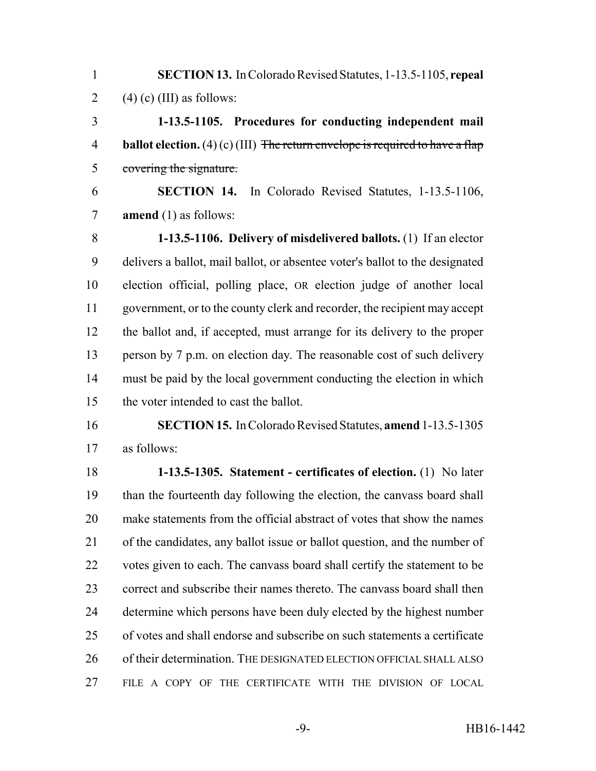**SECTION 13.** In Colorado Revised Statutes, 1-13.5-1105, **repeal** 2 (4) (c) (III) as follows:

 **1-13.5-1105. Procedures for conducting independent mail** 4 **ballot election.** (4) (c) (III) The return envelope is required to have a flap covering the signature.

 **SECTION 14.** In Colorado Revised Statutes, 1-13.5-1106, **amend** (1) as follows:

 **1-13.5-1106. Delivery of misdelivered ballots.** (1) If an elector delivers a ballot, mail ballot, or absentee voter's ballot to the designated election official, polling place, OR election judge of another local government, or to the county clerk and recorder, the recipient may accept the ballot and, if accepted, must arrange for its delivery to the proper 13 person by 7 p.m. on election day. The reasonable cost of such delivery must be paid by the local government conducting the election in which the voter intended to cast the ballot.

 **SECTION 15.** In Colorado Revised Statutes, **amend** 1-13.5-1305 as follows:

 **1-13.5-1305. Statement - certificates of election.** (1) No later than the fourteenth day following the election, the canvass board shall make statements from the official abstract of votes that show the names of the candidates, any ballot issue or ballot question, and the number of votes given to each. The canvass board shall certify the statement to be correct and subscribe their names thereto. The canvass board shall then determine which persons have been duly elected by the highest number of votes and shall endorse and subscribe on such statements a certificate 26 of their determination. THE DESIGNATED ELECTION OFFICIAL SHALL ALSO FILE A COPY OF THE CERTIFICATE WITH THE DIVISION OF LOCAL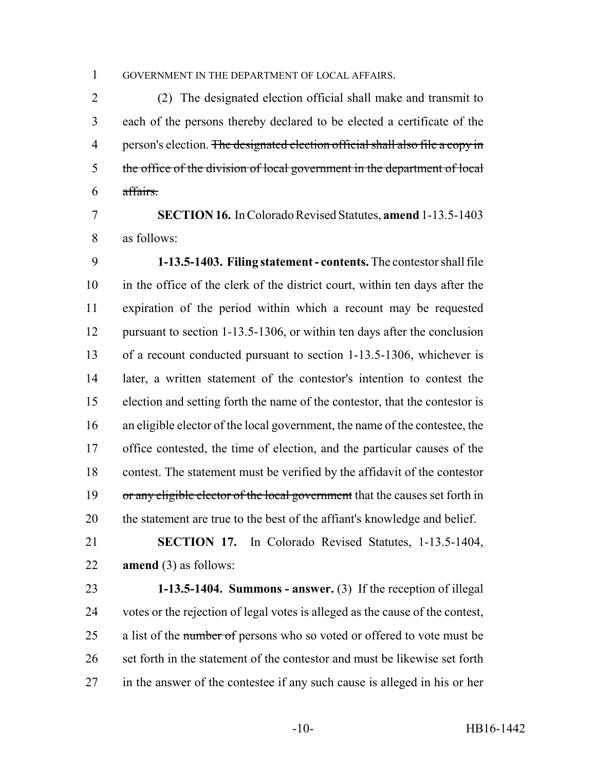GOVERNMENT IN THE DEPARTMENT OF LOCAL AFFAIRS.

 (2) The designated election official shall make and transmit to each of the persons thereby declared to be elected a certificate of the 4 person's election. The designated election official shall also file a copy in the office of the division of local government in the department of local affairs.

 **SECTION 16.** In Colorado Revised Statutes, **amend** 1-13.5-1403 as follows:

 **1-13.5-1403. Filing statement - contents.** The contestor shall file in the office of the clerk of the district court, within ten days after the expiration of the period within which a recount may be requested pursuant to section 1-13.5-1306, or within ten days after the conclusion of a recount conducted pursuant to section 1-13.5-1306, whichever is later, a written statement of the contestor's intention to contest the election and setting forth the name of the contestor, that the contestor is an eligible elector of the local government, the name of the contestee, the office contested, the time of election, and the particular causes of the contest. The statement must be verified by the affidavit of the contestor 19 or any eligible elector of the local government that the causes set forth in the statement are true to the best of the affiant's knowledge and belief.

 **SECTION 17.** In Colorado Revised Statutes, 1-13.5-1404, **amend** (3) as follows:

 **1-13.5-1404. Summons - answer.** (3) If the reception of illegal votes or the rejection of legal votes is alleged as the cause of the contest, 25 a list of the number of persons who so voted or offered to vote must be 26 set forth in the statement of the contestor and must be likewise set forth in the answer of the contestee if any such cause is alleged in his or her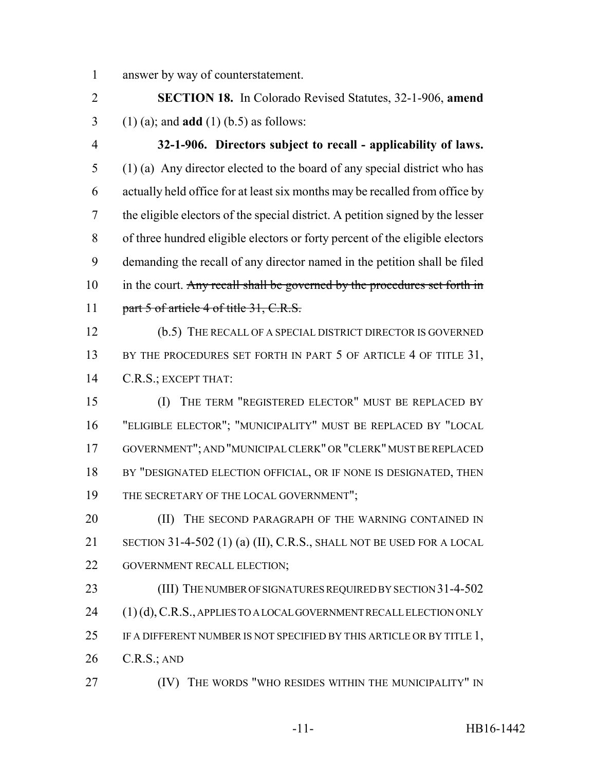answer by way of counterstatement.

 **SECTION 18.** In Colorado Revised Statutes, 32-1-906, **amend** (1) (a); and **add** (1) (b.5) as follows:

 **32-1-906. Directors subject to recall - applicability of laws.** (1) (a) Any director elected to the board of any special district who has actually held office for at least six months may be recalled from office by the eligible electors of the special district. A petition signed by the lesser of three hundred eligible electors or forty percent of the eligible electors demanding the recall of any director named in the petition shall be filed 10 in the court. Any recall shall be governed by the procedures set forth in 11 part 5 of article 4 of title 31, C.R.S.

 (b.5) THE RECALL OF A SPECIAL DISTRICT DIRECTOR IS GOVERNED 13 BY THE PROCEDURES SET FORTH IN PART 5 OF ARTICLE 4 OF TITLE 31, C.R.S.; EXCEPT THAT:

 (I) THE TERM "REGISTERED ELECTOR" MUST BE REPLACED BY "ELIGIBLE ELECTOR"; "MUNICIPALITY" MUST BE REPLACED BY "LOCAL GOVERNMENT"; AND "MUNICIPAL CLERK" OR "CLERK" MUST BE REPLACED 18 BY "DESIGNATED ELECTION OFFICIAL, OR IF NONE IS DESIGNATED, THEN 19 THE SECRETARY OF THE LOCAL GOVERNMENT";

**(II)** THE SECOND PARAGRAPH OF THE WARNING CONTAINED IN SECTION 31-4-502 (1) (a) (II), C.R.S., SHALL NOT BE USED FOR A LOCAL 22 GOVERNMENT RECALL ELECTION;

23 (III) THE NUMBER OF SIGNATURES REQUIRED BY SECTION 31-4-502 24 (1) (d), C.R.S., APPLIES TO A LOCAL GOVERNMENT RECALL ELECTION ONLY IF A DIFFERENT NUMBER IS NOT SPECIFIED BY THIS ARTICLE OR BY TITLE 1, C.R.S.; AND

**(IV)** THE WORDS "WHO RESIDES WITHIN THE MUNICIPALITY" IN